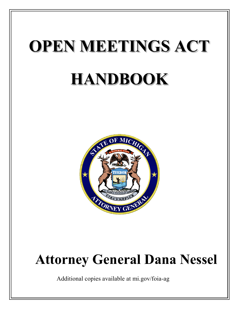# **OPEN MEETINGS ACT HANDBOOK**



# **Attorney General Dana Nessel**

Additional copies available at mi.gov/foia-ag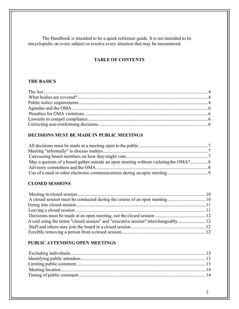The Handbook is intended to be a quick reference guide. It is not intended to be encyclopedic on every subject or resolve every situation that may be encountered.

# **TABLE OF CONTENTS**

# **THE BASICS**

# **DECISIONS MUST BE MADE IN PUBLIC MEETINGS**

# **CLOSED SESSIONS**

| Avoid using the terms "closed session" and "executive session" interchangeably12 |  |
|----------------------------------------------------------------------------------|--|
|                                                                                  |  |
|                                                                                  |  |
|                                                                                  |  |

# **PUBLIC ATTENDING OPEN MEETINGS**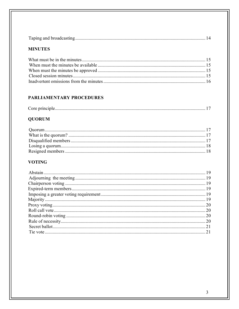|--|--|

# **MINUTES**

# PARLIAMENTARY PROCEDURES

|--|--|--|--|--|

# **QUORUM**

# **VOTING**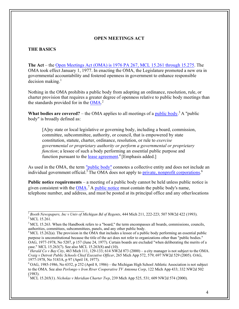### **OPEN MEETINGS ACT**

#### **THE BASICS**

**The Act** – the [Open Meetings Act \(OMA\) is 1976 PA 267, MCL 15.261 through 15.275. T](http://www.legislature.mi.gov/(S(hngc1mj4nomrnvu4q5erut45))/mileg.aspx?page=getObject&amp%3Bamp%3BobjectName=mcl-Act-267-of-1976)he OMA took effect January 1, 1977. In enacting the OMA, the Legislature promoted a new era in governmental accountability and fostered openness in government to enhance responsible  $decision$  making.<sup>1</sup>

Nothing in the OMA prohibits a public body from adopting an ordinance, resolution, rule, or charter provision that requires a greater degree of openness relative to public body meetings than the standards provided for in the [OMA](http://www.legislature.mi.gov/(S(hngc1mj4nomrnvu4q5erut45))/mileg.aspx?page=getObject&amp%3Bamp%3BobjectName=mcl-Act-267-of-1976)[.](#page-3-1)<sup>2</sup>

What bodies are covered? – the OMA applies to all meetings of a *public body*.<sup>3</sup> A "public body" is broadly defined as:

[A]ny state or local legislative or governing body, including a board, commission, committee, subcommittee, authority, or council, that is empowered by state constitution, statute, charter, ordinance, resolution, or rule to *exercise governmental or proprietary authority or perform a governmental or proprietary function*; a lessee of such a body performing an essential public purpose and function pursuant to the [lease agreement.](http://www.legislature.mi.gov/(S(gykims55pmu1tj551ehpyn55))/mileg.aspx?page=getObject&amp%3Bamp%3BobjectName=mcl-15-262)<sup>4</sup> [Emphasis added.]

As used in the OMA, the term ["public body"](http://www.ag.state.mi.us/opinion/datafiles/1970s/op05183.htm) connotes a collective entity and does not include an individual government official[.](#page-3-4)<sup>5</sup> The OMA does not apply to *private*, nonprofit corporations.<sup>6</sup>

**Public notice requirements** – a meeting of a public body cannot be held unless public notice is given consistent with the **OMA**.<sup>7</sup> A [public notice](http://www.legislature.mi.gov/(S(gykims55pmu1tj551ehpyn55))/mileg.aspx?page=getObject&amp%3Bamp%3BobjectName=mcl-15-264) must contain the public body's name, telephone number, and address, and must be posted at its principal office and any otherlocations

<span id="page-3-1"></span><span id="page-3-0"></span><sup>1</sup>*Booth Newspapers, Inc v Univ of Michigan Bd of Regents*, 444 Mich 211, 222-223; 507 NW2d 422 (1993).  $^{2}$  MCL 15.261.

 $3$  MCL 15.263. When the Handbook refers to a "board," the term encompasses all boards, commissions, councils, authorities, committees, subcommittees, panels, and any other public body.

<span id="page-3-2"></span> $4$  MCL 15.262(a). The provision in the OMA that includes a lessee of a public body performing an essential public purpose is unconstitutional because the title of the act does not refer to organizations other than "public bodies." OAG, 1977-1978, No 5207, p 157 (June 24, 1977). Certain boards are excluded "when deliberating the merits of a case." MCL 15.263(7). See also MCL 15.263(8) and (10).

<span id="page-3-3"></span> $^5$  Herald Co v Bay City, 463 Mich 111, 129-133; 614 NW2d 873 (2000) – a city manager is not subject to the OMA. *Craig v Detroit Public Schools Chief Executive Officer*, 265 Mich App 572, 579; 697 NW2d 529 (2005). OAG, 1977-1978, No 5183A, p 97 (April 18, 1977).

<span id="page-3-4"></span> $6$  OAG, 1985-1986, No 6352, p 252 (April 8, 1986) – the Michigan High School Athletic Association is not subject to the OMA. See also *Perlongo v Iron River Cooperative TV Antenna Corp*, 122 Mich App 433; 332 NW2d 502  $(1983)$ .

<span id="page-3-5"></span><sup>7</sup> MCL 15.265(1). *Nicholas v Meridian Charter Twp*, 239 Mich App 525, 531; 609 NW2d 574 (2000).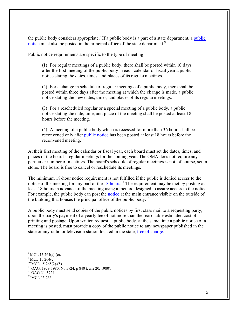the [public](http://www.legislature.mi.gov/(S(gykims55pmu1tj551ehpyn55))/mileg.aspx?page=getObject&amp%3Bamp%3BobjectName=mcl-15-264) body considers appropriate.<sup>8</sup> If a public body is a part of a state department, a public [notice](http://www.legislature.mi.gov/(S(gykims55pmu1tj551ehpyn55))/mileg.aspx?page=getObject&amp%3Bamp%3BobjectName=mcl-15-264) must also be posted in the principal office of the state department.<sup>9</sup>

Public notice requirements are specific to the type of meeting:

(1) For regular meetings of a public body, there shall be posted within 10 days after the first meeting of the public body in each calendar or fiscal year a public notice stating the dates, times, and places of its regularmeetings.

(2) For a change in schedule of regular meetings of a public body, there shall be posted within three days after the meeting at which the change is made, a public notice stating the new dates, times, and places of its regularmeetings.

(3) For a rescheduled regular or a special meeting of a public body, a public notice stating the date, time, and place of the meeting shall be posted at least 18 hours before the meeting.

(4) A meeting of a public body which is recessed for more than 36 hours shall be reconvened only after [public notice](http://www.legislature.mi.gov/(S(gykims55pmu1tj551ehpyn55))/mileg.aspx?page=getObject&amp%3Bamp%3BobjectName=mcl-15-265) has been posted at least 18 hours before the reconvened meeting[.10](#page-4-2)

At their first meeting of the calendar or fiscal year, each board must set the dates, times, and places of the board's regular meetings for the coming year. The OMA does not require any particular number of meetings. The board's schedule of regular meetings is not, of course, set in stone. The board is free to cancel or reschedule its meetings.

The minimum 18-hour notice requirement is not fulfilled if the public is denied access to the notice of the meeting for any part of the  $18 \text{ hours}$ .<sup>11</sup> The requirement may be met by posting at least 18 hours in advance of the meeting using a method designed to assure access to the notice. For example, the public body can post the [notice](http://www.ag.state.mi.us/opinion/datafiles/1980s/op05724.htm) at the main entrance visible on the outside of the building that houses the principal office of the public bod[y.](#page-4-4)<sup>12</sup>

A public body must send copies of the public notices by first class mail to a requesting party, upon the party's payment of a yearly fee of not more than the reasonable estimated cost of printing and postage. Upon written request, a public body, at the same time a public notice of a meeting is posted, must provide a copy of the public notice to any newspaper published in the state or any radio or television station located in the state, [free of charge.](http://www.legislature.mi.gov/(S(gykims55pmu1tj551ehpyn55))/mileg.aspx?page=getObject&amp%3Bamp%3BobjectName=mcl-15-266)<sup>[13](#page-4-4)</sup>

<span id="page-4-2"></span><span id="page-4-1"></span>

<span id="page-4-0"></span><sup>&</sup>lt;sup>8</sup> MCL 15.264(a)-(c).<br><sup>9</sup> MCL 15.264(c).<br><sup>10</sup> MCL 15.265(2)-(5).

<span id="page-4-4"></span><span id="page-4-3"></span><sup>&</sup>lt;sup>11</sup> OAG, 1979-1980, No 5724, p 840 (June 20, 1980). <sup>12</sup> OAG No 5724.

 $^{13}$  MCL 15.266.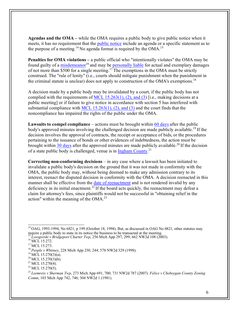**Agendas and the OMA –** while the OMA requires a public body to give public notice when it meets, it has no requirement that the *public* notice include an agenda or a specific statement as to the purpose of a meeting.<sup>14</sup> No agenda format is required by the OMA.<sup>15</sup>

**Penalties for OMA violations –** a public official who "intentionally violates" the OMA may be found guilty of a [misdemeanor](http://www.legislature.mi.gov/(S(gykims55pmu1tj551ehpyn55))/mileg.aspx?page=getObject&amp%3Bamp%3BobjectName=mcl-15-272)<sup>16</sup> and may be [personally liable](http://www.legislature.mi.gov/(S(gykims55pmu1tj551ehpyn55))/mileg.aspx?page=getObject&amp%3Bamp%3BobjectName=mcl-15-273) for actual and exemplary damages of not more than \$500 for a single meeting.<sup>17</sup> The exemptions in the OMA must be strictly construed. The "rule of lenity" (i.e., courts should mitigate punishment when the punishment in the criminal statute is unclear) does not apply to construction of the OMA's exemption[s.](#page-5-4)<sup>18</sup>

A decision made by a public body may be invalidated by a court, if the public body has not complied with the requirements of [MCL 15.263\(1\), \(2\), and \(3\)](http://www.legislature.mi.gov/(S(gykims55pmu1tj551ehpyn55))/mileg.aspx?page=getObject&amp%3Bamp%3BobjectName=mcl-15-263) [i.e., making decisions at a public meeting] or if failure to give notice in accordance with section 5 has interfered with substantial compliance with [MCL 15.263\(1\), \(2\), and \(3\)](http://www.legislature.mi.gov/(S(gykims55pmu1tj551ehpyn55))/mileg.aspx?page=getObject&amp%3Bamp%3BobjectName=mcl-15-263) and the court finds that the noncompliance has impaired the rights of the public under the OMA.

Lawsuits to compel compliance – actions must be brought within [60 days](http://www.legislature.mi.gov/(S(gykims55pmu1tj551ehpyn55))/mileg.aspx?page=getObject&amp%3Bamp%3BobjectName=mcl-15-270) after the public body's approved minutes involving the challenged decision are made publicly available.<sup>19</sup> If the decision involves the approval of contracts, the receipt or acceptance of bids, or the procedures pertaining to the issuance of bonds or other evidences of indebtedness, the action must be brought within  $30$  days after the approved minutes are made publicly available.<sup>20</sup> If the decision of a state public body is challenged, venue is in **Ingham County.**<sup>[21](#page-5-7)</sup>

**Correcting non-conforming decisions** – in any case where a lawsuit has been initiated to invalidate a public body's decision on the ground that it was not made in conformity with the OMA, the public body may, without being deemed to make any admission contrary to its interest, reenact the disputed decision in conformity with the OMA. A decision reenacted in this manner shall be effective from the [date of reenactment](http://www.legislature.mi.gov/(S(gykims55pmu1tj551ehpyn55))/mileg.aspx?page=getObject&amp%3Bamp%3BobjectName=mcl-15-270) and is not rendered invalid by any deficiency in its initial enactment.<sup>22</sup> If the board acts quickly, the reenactment may defeat a claim for attorney's fees, since plaintiffs would not be successful in "obtaining relief in the action" within the meaning of the  $OMA<sup>23</sup>$ 

<span id="page-5-0"></span> $14$  OAG, 1993-1994, No 6821, p 199 (October 18, 1994). But, as discussed in OAG No 6821, other statutes may require a public body to state in its notice the business to be transacted at the meeting.<br>
<sup>15</sup> Lysogorski v Bridgeport Charter Twp, 256 Mich App 297, 299; 662 NW2d 108 (2003).<br>
<sup>16</sup> MCL 15.272.<br>
<sup>17</sup> MCL 15.273.<br>
<sup>18</sup> P

<span id="page-5-2"></span><span id="page-5-1"></span>

<span id="page-5-3"></span>

<span id="page-5-5"></span><span id="page-5-4"></span>

<span id="page-5-7"></span><span id="page-5-6"></span>

<span id="page-5-9"></span><span id="page-5-8"></span>

<sup>23</sup>*Leemreis v Sherman Twp*, 273 Mich App 691, 700; 731 NW2d 787 (2007). *Felice v Cheboygan County Zoning Comm*, 103 Mich App 742, 746; 304 NW2d 1 (1981).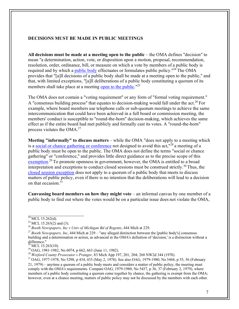### **DECISIONS MUST BE MADE IN PUBLIC MEETINGS**

**All decisions must be made at a meeting open to the public** – the OMA defines "decision" to mean "a determination, action, vote, or disposition upon a motion, proposal, recommendation, resolution, order, ordinance, bill, or measure on which a vote by members of a public body is required and by which a [public body](http://www.legislature.mi.gov/(S(gykims55pmu1tj551ehpyn55))/mileg.aspx?page=getObject&amp%3Bamp%3BobjectName=mcl-15-262) effectuates or formulates public policy."<sup>24</sup> The OMA provides that "[a]ll decisions of a public body shall be made at a meeting open to the public," and that, with limited exceptions, "[a]ll deliberations of a public body constituting a quorum of its members shall take place at a meeting [open to the public.](http://www.legislature.mi.gov/(S(gykims55pmu1tj551ehpyn55))/mileg.aspx?page=getObject&amp%3Bamp%3BobjectName=mcl-15-263)"<sup>25</sup>

The OMA does not contain a "voting requirement" or any form of "formal voting requirement." A "consensus building process" that equates to decision-making would fall under the act.<sup>26</sup> For example, where board members use telephone calls or sub-quorum meetings to achieve the same intercommunication that could have been achieved in a full board or commission meeting, the members' conduct is susceptible to "round-the-horn" decision-making, which achieves the same effect as if the entire board had met publicly and formally cast its votes. A "round-the-horn" process violates the OMA[.27](#page-6-2)

**Meeting "informally" to discuss matters** – while the OMA "does not apply to a meeting which is a [social or chance gathering or conference](http://www.legislature.mi.gov/(S(gykims55pmu1tj551ehpyn55))/mileg.aspx?page=getObject&amp%3Bamp%3BobjectName=mcl-15-263) not designed to avoid this act,"<sup>28</sup> a meeting of a public body must be open to the public. The OMA does not define the terms "social or chance gathering" or "conference," and provides little direct guidance as to the precise scope of this [exemption.](http://www.ag.state.mi.us/opinion/datafiles/1980s/op06074.htm)<sup>29</sup> To promote openness in government, however, the OMA is entitled to a broad interpretation and exceptions to conduct closed sessions must be construed strictly.<sup>30</sup> Thus, the [closed session exception](http://www.ag.state.mi.us/opinion/datafiles/1970s/op05298.htm) does not apply to a quorum of a public body that meets to discuss matters of public policy, even if there is no intention that the deliberations will lead to a decision on that occasion. $3\overline{1}$ 

**Canvassing board members on how they might vote** – an informal canvas by one member of a public body to find out where the votes would be on a particular issue does not violate the OMA,

<span id="page-6-1"></span>

<span id="page-6-0"></span><sup>&</sup>lt;sup>24</sup> MCL 15.262(d).<br><sup>25</sup> MCL 15.263(2) and (3).<br><sup>26</sup> Booth Newspapers, Inc v Univ of Michigan Bd of Regents, 444 Mich at 229.

<span id="page-6-2"></span><sup>&</sup>lt;sup>27</sup> Booth Newspapers, Inc, 444 Mich at 229 – "any alleged distinction between the [public body's] consensus building and a determination or action, as advanced in the OMA's definition of 'decision,' is a distinction without a difference."<br> $^{28}$  MCL 15.263(10).

<span id="page-6-3"></span>

<span id="page-6-4"></span><sup>&</sup>lt;sup>29</sup> OAG, 1981-1982, No 6074, p 662, 663 (June 11, 1982).<br><sup>30</sup> Wexford County Prosecutor v Pranger, 83 Mich App 197, 201, 204; 268 NW2d 344 (1978).

<span id="page-6-5"></span><sup>&</sup>lt;sup>31</sup> OAG, 1977-1978, No 5298, p 434, 435 (May 2, 1978). See also OAG, 1979-1980, No 5444, p 55, 56 (February 21, 1979) – anytime a quorum of a public body meets and considers a matter of public policy, the meeting must comply with the OMA's requirements. Compare OAG, 1979-1980, No 5437, p 36, 37 (February 2, 1979), where members of a public body constituting a quorum come together by chance, the gathering is exempt from the OMA; however, even at a chance meeting, matters of public policy may not be discussed by the members with each other.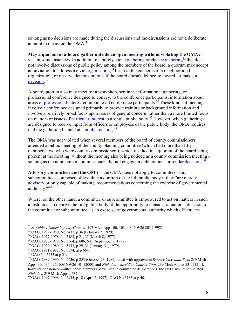so long as no decisions are made during the discussions and the discussions are not a deliberate attempt to the avoid the OMA.<sup>32</sup>

**May a quorum of a board gather outside an open meeting without violating the OMA?** – yes, in some instances. In addition to a purely [social gathering or chance gathering](http://www.ag.state.mi.us/opinion/datafiles/1970s/op05437.htm)<sup>33</sup> that does not involve discussions of public policy among the members of the board, a quorum may accept an invitation to address a *civic organization*,<sup>34</sup> listen to the concerns of a neighborhood organization, or observe demonstrations, if the board doesn't deliberate toward, or make, a [decision.](http://www.ag.state.mi.us/opinion/datafiles/1970s/op05364.htm)<sup>[35](#page-7-3)</sup>

A board quorum also may meet for a workshop, seminar, informational gathering, or professional conference designed to convey, to the conference participants, information about areas of [professional interest c](http://www.ag.state.mi.us/opinion/datafiles/1970s/op05433.htm)ommon to all conference participants.<sup>36</sup> These kinds of meetings involve a conference designed primarily to provide training or background information and involve a relatively broad focus upon issues of general concern, rather than a more limited focus on matters or issues of [particular interest](http://www.ag.state.mi.us/opinion/datafiles/1980s/op06074.htm) to a single public body.<sup>37</sup> However, when gatherings are designed to receive input from officers or employees of the public body, the OMA requires that the gathering be held at a [public meeting.](http://www.ag.state.mi.us/opinion/datafiles/1970s/op05433.htm)<sup>[38](#page-7-6)</sup>

The OMA was not violated when several members of the board of county commissioners attended a public meeting of the county planning committee (which had more than fifty members, two who were county commissioners), which resulted in a quorum of the board being present at the meeting (without the meeting also being noticed as a county commission meeting), so long as the nonmember commissioners did not engage in deliberations or render [decisions.](http://www.ag.state.mi.us/opinion/datafiles/1980s/op06636.htm)<sup>[39](#page-7-7)</sup>

**Advisory committees and the OMA** – the OMA does not apply to committees and subcommittees composed of less than a quorum of the full public body if they "are merely [advisory](http://www.ag.state.mi.us/opinion/datafiles/1990s/op10006.htm) or only capable of making 'recommendations concerning the exercise of governmental authority.'["40](#page-7-8)

Where, on the other hand, a committee or subcommittee is empowered to act on matters in such a fashion as to deprive the full public body of the opportunity to consider a matter, a decision of the committee or subcommittee "is an exercise of governmental authority which effectuates

<span id="page-7-0"></span><sup>&</sup>lt;sup>32</sup> St Aubin v Ishpeming City Council, 197 Mich App 100, 103; 494 NW2d 803 (1992).<br><sup>33</sup> OAG, 1979-1980, No 5437, p 36 (February 2, 1979).<br><sup>34</sup> OAG, 1977-1978, No 5183, p 21, 35 (March 8, 1977).<br><sup>35</sup> OAG, 1977-1978, No 53

<span id="page-7-2"></span><span id="page-7-1"></span>

<span id="page-7-4"></span><span id="page-7-3"></span>

<span id="page-7-6"></span><span id="page-7-5"></span>

<span id="page-7-8"></span>

<span id="page-7-7"></span><sup>39</sup> OAG, 1989-1990, No 6636, p 253 (October 23, 1989), cited with approval in *Ryant v Cleveland Twp*, 239 Mich App 430, 434-435; 608 NW2d 101 (2000) and *Nicholas v Meridian Charter Twp*, 239 Mich App at 531-532. If, however, the noncommittee board members participate in committee deliberations, the OMA would be violated.<br>Nicholas, 239 Mich App at 532.

<sup>&</sup>lt;sup>40</sup> OAG, 1997-1998, No 6935, p 18 (April 2, 1997); OAG No 5183 at p 40.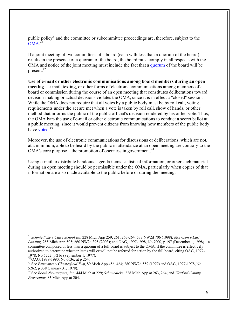public policy" and the committee or subcommittee proceedings are, therefore, subject to the  $OMA.<sup>41</sup>$  $OMA.<sup>41</sup>$  $OMA.<sup>41</sup>$  $OMA.<sup>41</sup>$ 

If a joint meeting of two committees of a board (each with less than a quorum of the board) results in the presence of a quorum of the board, the board must comply in all respects with the OMA and notice of the joint meeting must include the fact that a [quorum](http://www.ag.state.mi.us/opinion/datafiles/1980s/op06636.htm) of the board will be present[.42](#page-8-1)

**Use of e-mail or other electronic communications among board members during an open meeting** – e-mail, texting, or other forms of electronic communications among members of a board or commission during the course of an open meeting that constitutes deliberations toward decision-making or actual decisions violates the OMA, since it is in effect a "closed" session. While the OMA does not require that all votes by a public body must be by roll call, voting requirements under the act are met when a vote is taken by roll call, show of hands, or other method that informs the public of the public official's decision rendered by his or her vote. Thus, the OMA bars the use of e-mail or other electronic communications to conduct a secret ballot at a public meeting, since it would prevent citizens from knowing how members of the public body have <u>voted</u>.<sup>[43](#page-8-2)</sup>

Moreover, the use of electronic communications for discussions or deliberations, which are not, at a minimum, able to be heard by the public in attendance at an open meeting are contrary to the OMA's core purpose – the promotion of openness in government.<sup>44</sup>

Using e-mail to distribute handouts, agenda items, statistical information, or other such material during an open meeting should be permissible under the OMA, particularly when copies of that information are also made available to the public before or during the meeting.

<span id="page-8-0"></span><sup>41</sup>*Schmiedicke v Clare School Bd*, 228 Mich App 259, 261, 263-264; 577 NW2d 706 (1998); *Morrison v East Lansing*, 255 Mich App 505; 660 NW2d 395 (2003); and OAG, 1997-1998, No 7000, p 197 (December 1, 1998) – a committee composed of less than a quorum of a full board is subject to the OMA, if the committee is effectively authorized to determine whether items will or will not be referred for action by the full board, citing OAG, 1977- 1978, No 5222, p 216 (September 1, 1977).<br><sup>42</sup> OAG, 1989-1990, No 6636, at p 254.

<span id="page-8-2"></span><span id="page-8-1"></span>

<sup>&</sup>lt;sup>43</sup> See *Esperance v Chesterfield Twp*, 89 Mich App 456, 464; 280 NW2d 559 (1979) and OAG, 1977-1978, No 5262, p 338 (January 31, 1978).

<span id="page-8-3"></span><sup>44</sup> See *Booth Newspapers, Inc*, 444 Mich at 229; *Schmiedicke*, 228 Mich App at 263, 264; and *Wexford County Prosecutor*, 83 Mich App at 204.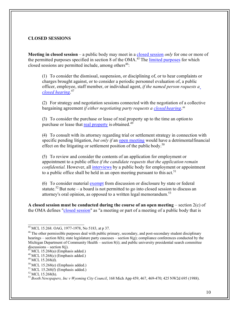# **CLOSED SESSIONS**

**Meeting in closed session** – a public body may meet in a [closed session](http://www.legislature.mi.gov/(S(5ljhvdbiegcifyqvztxtqea0))/mileg.aspx?page=getObject&amp%3Bamp%3BobjectName=mcl-15-268) *only* for one or more of the permitted purposes specified in section 8 of the OMA.<sup>45</sup> The [limited purposes](http://www.legislature.mi.gov/(S(5ljhvdbiegcifyqvztxtqea0))/mileg.aspx?page=getObject&amp%3Bamp%3BobjectName=mcl-15-268) for which closed sessions are permitted include, among others<sup>46</sup>:

(1) To consider the dismissal, suspension, or disciplining of, or to hear complaints or charges brought against, or to consider a periodic personnel evaluation of, a public officer, employee, staff member, or individual agent, *if the named person requests a closed [hearing](http://www.legislature.mi.gov/(S(jqki5vmmf5pvjsfccfbdpu45))/mileg.aspx?page=getObject&amp%3Bamp%3BobjectName=mcl-15-268)*. [47](#page-9-2)

(2) For strategy and negotiation sessions connected with the negotiation of a collective bargaining agreement *if either negotiating party requests a closed [hearing](http://www.legislature.mi.gov/(S(jqki5vmmf5pvjsfccfbdpu45))/mileg.aspx?page=getObject&amp%3Bamp%3BobjectName=mcl-15-268)*. [48](#page-9-3)

(3) To consider the purchase or lease of real property up to the time an option to purchase or lease that [real property](http://www.legislature.mi.gov/(S(jqki5vmmf5pvjsfccfbdpu45))/mileg.aspx?page=getObject&amp%3Bamp%3BobjectName=mcl-15-268) is obtained.<sup>49</sup>

(4) To consult with its attorney regarding trial or settlement strategy in connection with specific pending litigation, *but only if* an **[open meeting](http://www.legislature.mi.gov/(S(jqki5vmmf5pvjsfccfbdpu45))/mileg.aspx?page=getObject&amp%3Bamp%3BobjectName=mcl-15-268)** would have a detrimentalfinancial effect on the litigating or settlement position of the public body.<sup>50</sup>

(5) To review and consider the contents of an application for employment or appointment to a public office *if the candidate requests that the application remain confidential.* However, all [interviews](http://www.legislature.mi.gov/(S(jqki5vmmf5pvjsfccfbdpu45))/mileg.aspx?page=getObject&amp%3Bamp%3BobjectName=mcl-15-268) by a public body for employment or appointment to a public office shall be held in an open meeting pursuant to this act.<sup>[51](#page-9-5)</sup>

<span id="page-9-2"></span>(6) To consider material [exempt](http://www.legislature.mi.gov/(S(jqki5vmmf5pvjsfccfbdpu45))/mileg.aspx?page=getObject&amp%3Bamp%3BobjectName=mcl-15-268) from discussion or disclosure by state or federal statute.<sup>52</sup> But note – a board is not permitted to go into closed session to discuss an attorney's oral opinion, as opposed to a written legal memorandum.<sup>53</sup>

A closed session must be conducted during the course of an open meeting  $-$  section  $2(c)$  of the OMA defines ["closed session"](http://www.legislature.mi.gov/(S(jqki5vmmf5pvjsfccfbdpu45))/mileg.aspx?page=getObject&amp%3Bamp%3BobjectName=mcl-15-262) as "a meeting or part of a meeting of a public body that is

<span id="page-9-0"></span><sup>45</sup> MCL 15.268. OAG, 1977-1978, No 5183, at p 37.

<span id="page-9-1"></span> $46$  The other permissible purposes deal with public primary, secondary, and post-secondary student disciplinary hearings – section 8(b); state legislature party caucuses – section  $8(g)$ ; compliance conferences conducted by the Michigan Department of Community Health – section 8(i); and public university presidential search committee discussions – section 8(j).

<span id="page-9-3"></span>

<span id="page-9-5"></span><span id="page-9-4"></span>

<sup>&</sup>lt;sup>4/</sup> MCL 15.268(a) (Emphasis added.)<br><sup>48</sup> MCL 15.268(c) (Emphasis added.)<br><sup>49</sup> MCL 15.268(d).<br><sup>50</sup> MCL 15.268(e) (Emphasis added.)

<span id="page-9-6"></span>

<sup>&</sup>lt;sup>51</sup> MCL 15.268(f) (Emphasis added.)<br><sup>52</sup> MCL 15.268(h).<br><sup>53</sup> Booth Newspapers, *Inc v Wyoming City Council*, 168 Mich App 459, 467, 469-470; 425 NW2d 695 (1988).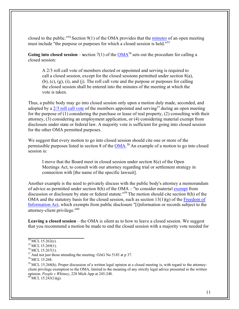closed to the public."<sup>54</sup> Section 9(1) of the OMA provides that the [minutes](http://www.legislature.mi.gov/(S(jqki5vmmf5pvjsfccfbdpu45))/mileg.aspx?page=getObject&amp%3Bamp%3BobjectName=mcl-15-269) of an open meeting must include "the purpose or purposes for which a closed session is held.["55](#page-10-1)

**Going into closed session – section**  $7(1)$  **of the [OMA](http://www.legislature.mi.gov/(S(jqki5vmmf5pvjsfccfbdpu45))/mileg.aspx?page=getObject&amp%3Bamp%3BobjectName=mcl-15-267)<sup>56</sup> sets out the procedure for calling a** closed session:

A 2/3 roll call vote of members elected or appointed and serving is required to call a closed session, except for the closed sessions permitted under section  $8(a)$ ,  $(b)$ ,  $(c)$ ,  $(g)$ ,  $(i)$ , and  $(i)$ . The roll call vote and the purpose or purposes for calling the closed session shall be entered into the minutes of the meeting at which the vote is taken.

Thus, a public body may go into closed session only upon a motion duly made, seconded, and adopted by a  $2/3$  roll call vote of the members appointed and serving<sup>57</sup> during an open meeting for the purpose of (1) considering the purchase or lease of real property, (2) consulting with their attorney, (3) considering an employment application, or (4) considering material exempt from disclosure under state or federal law. A majority vote is sufficient for going into closed session for the other OMA permitted purposes.

We suggest that every motion to go into closed session should cite one or more of the permissible purposes listed in section 8 of the **OMA**.<sup>58</sup> An example of a motion to go into closed session is:

I move that the Board meet in closed session under section  $8(e)$  of the Open Meetings Act, to consult with our attorney regarding trial or settlement strategy in connection with [the name of the specific lawsuit].

Another example is the need to privately discuss with the public body's attorney a memorandum of advice as permitted under section 8(h) of the OMA – "to consider material [exempt](http://www.legislature.mi.gov/(S(jqki5vmmf5pvjsfccfbdpu45))/mileg.aspx?page=getObject&amp%3Bamp%3BobjectName=mcl-15-268) from discussion or disclosure by state or federal statute."<sup>59</sup> The motion should cite section 8(h) of the OMA and the statutory basis for the closed session, such as section  $13(1)(g)$  of the [Freedom of](http://www.legislature.mi.gov/(S(5ljhvdbiegcifyqvztxtqea0))/mileg.aspx?page=getObject&amp%3Bamp%3BobjectName=mcl-15-243) [Information Act,](http://www.legislature.mi.gov/(S(5ljhvdbiegcifyqvztxtqea0))/mileg.aspx?page=getObject&amp%3Bamp%3BobjectName=mcl-15-243) which exempts from public disclosure "[i]nformation or records subject to the attorney-client privilege.["60](#page-10-5)

Leaving a closed session – the OMA is silent as to how to leave a closed session. We suggest that you recommend a motion be made to end the closed session with a majority vote needed for

<span id="page-10-2"></span>

<span id="page-10-1"></span><span id="page-10-0"></span> $54$  MCL 15.262(c).<br>  $55$  MCL 15.269(1).<br>  $56$  MCL 15.267(1).<br>  $57$  And not just those attending the meeting. OAG No 5183 at p 37.<br>  $58$  MCL 15.268.

<span id="page-10-5"></span><span id="page-10-3"></span>

<span id="page-10-4"></span> $59$  MCL 15.268(h). Proper discussion of a written legal opinion at a closed meeting is, with regard to the attorneyclient privilege exemption to the OMA, limited to the meaning of any strictly legal advice presented in the written opinion. *People v Whitney*, 228 Mich App at 245-248.<br><sup>60</sup> MCL 15.243(1)(g).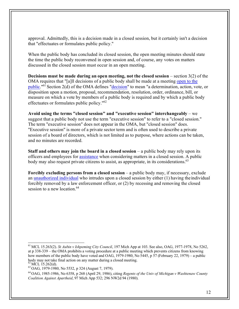approval. Admittedly, this is a decision made in a closed session, but it certainly isn't a decision that "effectuates or formulates public policy."

When the public body has concluded its closed session, the open meeting minutes should state the time the public body reconvened in open session and, of course, any votes on matters discussed in the closed session must occur in an open meeting.

**Decisions must be made during an open meeting, not the closed session – section 3(2) of the** OMA requires that "[a]ll decisions of a public body shall be made at a meeting [open to the](http://www.legislature.mi.gov/(S(5ljhvdbiegcifyqvztxtqea0))/mileg.aspx?page=getObject&amp%3Bamp%3BobjectName=mcl-15-263) [public.](http://www.legislature.mi.gov/(S(5ljhvdbiegcifyqvztxtqea0))/mileg.aspx?page=getObject&amp%3Bamp%3BobjectName=mcl-15-263)["61 S](#page-11-0)ection 2(d) of the OMA defines ["decision"](http://www.legislature.mi.gov/(S(5ljhvdbiegcifyqvztxtqea0))/mileg.aspx?page=getObject&amp%3Bamp%3BobjectName=mcl-15-262) to mean "a determination, action, vote, or disposition upon a motion, proposal, recommendation, resolution, order, ordinance, bill, or measure on which a vote by members of a public body is required and by which a public body effectuates or formulates public policy.["62](#page-11-1)

**Avoid using the terms "closed session" and "executive session" interchangeably** – we suggest that a public body not use the term "executive session" to refer to a "closed session." The term "executive session" does not appear in the OMA, but "closed session" does. "Executive session" is more of a private sector term and is often used to describe a private session of a board of directors, which is not limited as to purpose, where actions can be taken, and no minutes are recorded.

**Staff and others may join the board in a closed session** – a public body may rely upon its officers and employees for [assistance](http://www.ag.state.mi.us/opinion/datafiles/1970s/op05532.htm) when considering matters in a closed session. A public body may also request private citizens to assist, as appropriate, in its consideration[s.](#page-11-2)<sup>63</sup>

**Forcibly excluding persons from a closed session** – a public body may, if necessary, exclude an [unauthorized individual](http://www.ag.state.mi.us/opinion/datafiles/1980s/op06358.htm) who intrudes upon a closed session by either (1) having theindividual forcibly removed by a law enforcement officer, or (2) by recessing and removing the closed session to a new location.<sup>64</sup>

<span id="page-11-0"></span><sup>61</sup> MCL 15.263(2). *St Aubin v Ishpeming City Council*, 197 Mich App at 103. See also, OAG, 1977-1978, No 5262, at p 338-339 – the OMA prohibits a voting procedure at a public meeting which prevents citizens from knowing how members of the public body have voted and OAG, 1979-1980, No 5445, p 57 (February 22, 1979) – a public body may not take final action on any matter during a closed meeting.<br><sup>62</sup> MCL 15.262(d).

<span id="page-11-2"></span><span id="page-11-1"></span><sup>&</sup>lt;sup>63</sup> OAG, 1979-1980, No 5532, p 324 (August 7, 1979).

<sup>64</sup> OAG, 1985-1986, No 6358, p 268 (April 29, 1986), citing *Regents of the Univ of Michigan v Washtenaw County Coalition Against Apartheid*, 97 Mich App 532; 296 NW2d 94 (1980).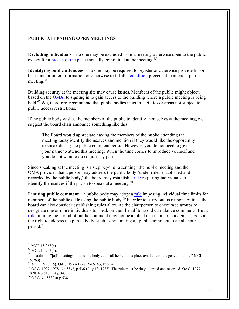# **PUBLIC ATTENDING OPEN MEETINGS**

**Excluding individuals** – no one may be excluded from a meeting otherwise open to the public except for a **breach of the peace** actually committed at the meeting.<sup>[65](#page-12-0)</sup>

**Identifying public attendees** – no one may be required to register or otherwise provide his or her name or other information or otherwise to fulfill a [condition](http://www.legislature.mi.gov/(S(5ljhvdbiegcifyqvztxtqea0))/mileg.aspx?page=getObject&amp%3Bamp%3BobjectName=mcl-15-263) precedent to attend a public meeting.<sup>66</sup>

Building security at the meeting site may cause issues. Members of the public might object, based on the [OMA, t](http://www.legislature.mi.gov/(S(5ljhvdbiegcifyqvztxtqea0))/mileg.aspx?page=getObject&amp%3Bamp%3BobjectName=mcl-15-263)o signing in to gain access to the building where a public meeting is being held.<sup>67</sup> We, therefore, recommend that public bodies meet in facilities or areas not subject to public access restrictions.

If the public body wishes the members of the public to identify themselves at the meeting, we suggest the board chair announce something like this:

The Board would appreciate having the members of the public attending the meeting today identify themselves and mention if they would like the opportunity to speak during the public comment period. However, you do not need to give your name to attend this meeting. When the time comes to introduce yourself and you do not want to do so, just say pass.

Since speaking at the meeting is a step beyond "attending" the public meeting and the OMA provides that a person may address the public body "under rules established and recorded by the public body," the board may establish a [rule](http://www.legislature.mi.gov/(S(5ljhvdbiegcifyqvztxtqea0))/mileg.aspx?page=getObject&amp%3Bamp%3BobjectName=mcl-15-263) requiring individuals to identify themselves if they wish to speak at a meeting.<sup>68</sup>

**Limiting public comment** – a public body may adopt a [rule](http://www.ag.state.mi.us/opinion/datafiles/1970s/op05332.htm) imposing individual time limits for members of the public addressing the public body.<sup>69</sup> In order to carry out its responsibilities, the board can also consider establishing rules allowing the chairperson to encourage groups to designate one or more individuals to speak on their behalf to avoid cumulative comments. But a [rule](http://www.ag.state.mi.us/opinion/datafiles/1970s/op05332.htm) limiting the period of public comment may not be applied in a manner that denies a person the right to address the public body, such as by limiting all public comment to a half-hour period[.70](#page-12-4)

 $^{69}$  OAG, 1977-1978, No 5332, p 536 (July 13, 1978). The rule must be duly adopted and recorded. OAG, 1977-1978. No 5183, at p 34.

<span id="page-12-0"></span> $65$  MCL 15.263(6).

<span id="page-12-1"></span> $66$  MCL 15.263(4).

 $^{67}$  In addition, "[a]ll meetings of a public body ... shall be held in a place available to the general public." MCL 15.263(1).<br><sup>68</sup> MCL 15.263(5). OAG, 1977-1978, No 5183, at p 34.

<span id="page-12-3"></span><span id="page-12-2"></span>

<span id="page-12-4"></span> $70$  OAG No 5332 at p 538.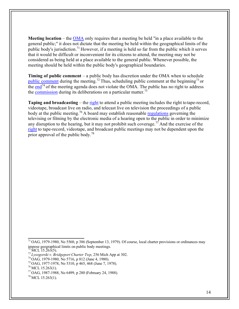**Meeting location** – the [OMA](http://www.ag.state.mi.us/opinion/datafiles/1970s/op05560.htm) only requires that a meeting be held "in a place available to the general public;" it does not dictate that the meeting be held within the geographical limits of the public body's jurisdiction[.71 H](#page-13-0)owever, if a meeting is held so far from the public which it serves that it would be difficult or inconvenient for its citizens to attend, the meeting may not be considered as being held at a place available to the general public. Whenever possible, the meeting should be held within the public body's geographical boundaries.

**Timing of public comment** – a public body has discretion under the OMA when to schedule [public comment](http://www.legislature.mi.gov/(S(trh5hh45jv3nphq4ewd5cvmn))/mileg.aspx?page=getObject&amp%3Bamp%3BobjectName=mcl-15-263) during the meeting.<sup>72</sup> Thus, scheduling public comment at the beginning<sup>73</sup> or the [end](http://www.ag.state.mi.us/opinion/datafiles/1980s/op05716.htm)<sup>74</sup> of the meeting agenda does not violate the OMA. The public has no right to address the [commission](http://www.ag.state.mi.us/opinion/datafiles/1970s/op05310.htm) during its deliberations on a particular matter.<sup>75</sup>

**Taping and broadcasting** – the [right](http://www.legislature.mi.gov/(S(trh5hh45jv3nphq4ewd5cvmn))/mileg.aspx?page=getObject&amp%3Bamp%3BobjectName=mcl-15-263) to attend a public meeting includes the right to tape-record, videotape, broadcast live on radio, and telecast live on television the proceedings of a public body at the public meeting.<sup>76</sup> A board may establish reasonable [regulations](http://www.ag.state.mi.us/opinion/datafiles/1980s/op06499.htm) governing the televising or filming by the electronic media of a hearing open to the public in order to minimize any disruption to the hearing, but it may not prohibit such coverage.<sup>77</sup> And the exercise of the [right](http://www.legislature.mi.gov/(S(trh5hh45jv3nphq4ewd5cvmn))/mileg.aspx?page=getObject&amp%3Bamp%3BobjectName=mcl-15-263) to tape-record, videotape, and broadcast public meetings may not be dependent upon the prior approval of the public body[.78](#page-13-5)

<span id="page-13-2"></span><span id="page-13-0"></span> $^{71}$  OAG, 1979-1980, No 5560, p 386 (September 13, 1979). Of course, local charter provisions or ordinances may impose geographical limits on public body meetings.<br> $^{72}$  MCL 15.263(5).

<span id="page-13-1"></span>

<sup>&</sup>lt;sup>73</sup> Lysogorski v. Bridgeport Charter Twp, 256 Mich App at 302.<br><sup>74</sup> OAG, 1979-1980, No 5716, p 812 (June 4, 1980).<br><sup>75</sup> OAG, 1977-1978, No 5310, p 465, 468 (June 7, 1978).<br><sup>76</sup> MCL 15.263(1).<br><sup>77</sup> OAG, 1987-1988, No 6499

<span id="page-13-3"></span>

<span id="page-13-4"></span>

<span id="page-13-5"></span> $^{78}$  MCL 15.263(1).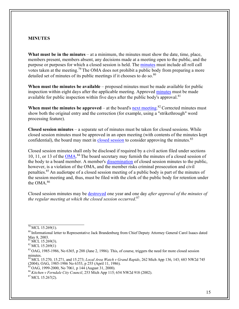#### **MINUTES**

**What must be in the minutes** – at a minimum, the minutes must show the date, time, place, members present, members absent, any decisions made at a meeting open to the public, and the purpose or purposes for which a closed session is held. The [minutes](http://www.legislature.mi.gov/(S(trh5hh45jv3nphq4ewd5cvmn))/mileg.aspx?page=getObject&amp%3Bamp%3BobjectName=mcl-15-269) must include all roll call votes taken at the meeting.<sup>79</sup> The OMA does not prohibit a public body from preparing a more detailed set of minutes of its public meetings if it chooses to do so.<sup>[80](#page-14-1)</sup>

When must the minutes be available – proposed minutes must be made available for public inspection within eight days after the applicable meeting. Approved [minutes](http://www.legislature.mi.gov/(S(trh5hh45jv3nphq4ewd5cvmn))/mileg.aspx?page=getObject&amp%3Bamp%3BobjectName=mcl-15-269) must be made available for public inspection within five days after the public body's approva[l.](#page-14-2)<sup>81</sup>

When must the minutes be approved – at the board's **next meeting**.<sup>82</sup> Corrected minutes must show both the original entry and the correction (for example, using a "strikethrough" word processing feature).

**Closed session minutes** – a separate set of minutes must be taken for closed sessions. While closed session minutes must be approved in an open meeting (with contents of the minutes kept confidential), the board may meet in [closed session](http://www.ag.state.mi.us/opinion/datafiles/1980s/op06365.htm) to consider approving the minutes.<sup>[83](#page-14-3)</sup>

Closed session minutes shall only be disclosed if required by a civil action filed under sections 10, 11, or 13 of the **OMA**.<sup>84</sup> The board secretary may furnish the minutes of a closed session of the body to a board member. A member's [dissemination](http://www.ag.state.mi.us/opinion/datafiles/2000s/op10136.htm) of closed session minutes to the public, however, is a violation of the OMA, and the member risks criminal prosecution and civil penalties[.85 A](#page-14-5)n audiotape of a closed session meeting of a public body is part of the minutes of the session meeting and, thus, must be filed with the clerk of the public body for retention under the OMA[.86](#page-14-5)

Closed session minutes may be [destroyed](http://www.legislature.mi.gov/(S(trh5hh45jv3nphq4ewd5cvmn))/mileg.aspx?page=getObject&amp%3Bamp%3BobjectName=mcl-15-267) one year and one day *after approval of the minutes of the regular meeting at which the closed session occurred*. [87](#page-14-6)

<span id="page-14-6"></span> $87$  MCL 15.267(2).

<span id="page-14-0"></span> $^{79}$  MCL 15.269(1).

<span id="page-14-1"></span><sup>80</sup> Informational letter to Representative Jack Brandenburg from Chief Deputy Attorney General Carol Isaacs dated May 8, 2003.

<span id="page-14-2"></span><sup>&</sup>lt;sup>81</sup> MCL 15.269(3).<br><sup>82</sup> MCL 15.269(1)

<span id="page-14-3"></span><sup>83</sup> OAG, 1985-1986, No 6365, p 288 (June 2, 1986). This, of course, triggers the need for more closed session minutes.

<span id="page-14-4"></span><sup>&</sup>lt;sup>84</sup> MCL 15.270, 15.271, and 15.273; *Local Area Watch v Grand Rapids*, 262 Mich App 136, 143; 683 NW2d 745 (2004); OAG, 1985-1986 No 6353, p 255 (April 11, 1986).

<span id="page-14-5"></span><sup>&</sup>lt;sup>85</sup> OAG, 1999-2000, No 7061, p 144 (August 31, 2000). *86 Kitchen v Ferndale City Council*, 253 Mich App 115; 654 NW2d 918 (2002).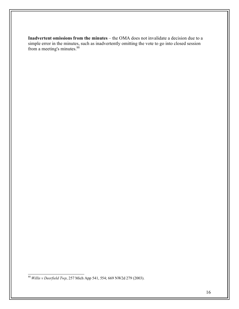**Inadvertent omissions from the minutes** – the OMA does not invalidate a decision due to a simple error in the minutes, such as inadvertently omitting the vote to go into closed session from a meeting's minutes.<sup>[88](#page-15-0)</sup>

<span id="page-15-0"></span><sup>88</sup>*Willis v Deerfield Twp*, 257 Mich App 541, 554; 669 NW2d 279 (2003).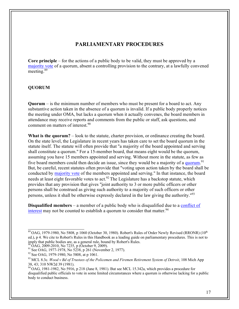# **PARLIAMENTARY PROCEDURES**

**Core principle** – for the actions of a public body to be valid, they must be approved by a [majority vote](http://www.ag.state.mi.us/opinion/datafiles/1980s/op05808.htm) of a quorum, absent a controlling provision to the contrary, at a lawfully convened meeting[.89](#page-16-0)

### **QUORUM**

**Quorum** – is the minimum number of members who must be present for a board to act. Any substantive action taken in the absence of a quorum is invalid. If a public body properly notices the meeting under OMA, but lacks a quorum when it actually convenes, the board members in attendance may receive reports and comments from the public or staff, ask questions, and comment on matters of interest[.90](#page-16-1)

What is the quorum? – look to the statute, charter provision, or ordinance creating the board. On the state level, the Legislature in recent years has taken care to set the board quorum in the statute itself. The statute will often provide that "a majority of the board appointed and serving shall constitute a quorum." For a 15-member board, that means eight would be the quorum, assuming you have 15 members appointed and serving. Without more in the statute, as few as five board members could then decide an issue, since they would be a majority of a [quorum.](http://www.ag.state.mi.us/opinion/datafiles/1970s/op05238.htm)<sup>[91](#page-16-2)</sup> But, be careful, recent statutes often provide that "voting upon action taken by the board shall be conducted by [majority vote](http://www.ag.state.mi.us/opinion/datafiles/1980s/op05808.htm) of the members appointed and serving." In that instance, the board needs at least eight favorable votes to act.<sup>92</sup> The Legislature has a backstop statute, which provides that any provision that gives "joint authority to 3 or more public officers or other persons shall be construed as giving such authority to a majority of such officers or other persons, unless it shall be otherwise expressly declared in the law giving the authority."<sup>93</sup>

**Disqualified members** – a member of a public body who is disqualified due to a [conflict of](http://www.ag.state.mi.us/opinion/datafiles/1980s/op05916.htm) [interest](http://www.ag.state.mi.us/opinion/datafiles/1980s/op05916.htm) may not be counted to establish a quorum to consider that matter.<sup>[94](#page-16-5)</sup>

<span id="page-16-2"></span><span id="page-16-1"></span>

<span id="page-16-0"></span> $89$  OAG, 1979-1980, No 5808, p 1060 (October 30, 1980). Robert's Rules of Order Newly Revised (RRONR) ( $10<sup>th</sup>$ ed.), p 4. We cite to Robert's Rules in this Handbook as a leading guide on parliamentary procedures. This is not to imply that public bodies are, as a general rule, bound by Robert's Rules.<br><sup>90</sup> OAG, 2009-2010, No 7235, p (October 9, 2009).<br><sup>91</sup> See OAG, 1977-1978, No 5238, p 261 (November 2, 1977).<br><sup>92</sup> See OAG, 1979-1980, No 5808, at

<span id="page-16-5"></span><span id="page-16-3"></span>

<span id="page-16-4"></span><sup>93</sup> MCL 8.3c. *Wood v Bd of Trustees of the Policemen and Firemen Retirement System of Detroit*, 108 Mich App 38, 43; 310 NW2d 39 (1981).

 $94$  OAG, 1981-1982, No 5916, p 218 (June 8, 1981). But see MCL 15.342a, which provides a procedure for disqualified public officials to vote in some limited circumstances where a quorum is otherwise lacking for a public body to conduct business.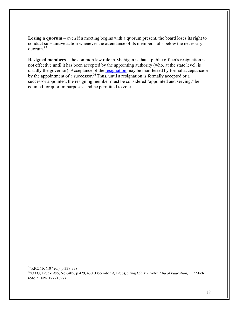Losing a quorum – even if a meeting begins with a quorum present, the board loses its right to conduct substantive action whenever the attendance of its members falls below the necessary quorum[.95](#page-17-0)

**Resigned members** – the common law rule in Michigan is that a public officer's resignation is not effective until it has been accepted by the appointing authority (who, at the state level, is usually the governor). Acceptance of the [resignation](http://www.ag.state.mi.us/opinion/datafiles/1980s/op06405.htm) may be manifested by formal acceptance or by the appointment of a successor.<sup>96</sup> Thus, until a resignation is formally accepted or a successor appointed, the resigning member must be considered "appointed and serving," be counted for quorum purposes, and be permitted to vote.

<span id="page-17-0"></span>95 RRONR (10<sup>th</sup> ed.), p 337-338.

<span id="page-17-1"></span><sup>96</sup> OAG, 1985-1986, No 6405, p 429, 430 (December 9, 1986), citing *Clark v Detroit Bd of Education*, 112 Mich 656; 71 NW 177 (1897).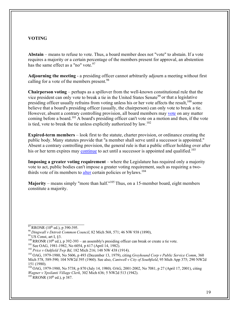### **VOTING**

**Abstain** – means to refuse to vote. Thus, a board member does not "vote" to abstain. If a vote requires a majority or a certain percentage of the members present for approval, an abstention has the same effect as a "no" vote.  $97$ 

**Adjourning the meeting** - a presiding officer cannot arbitrarily adjourn a meeting without first calling for a vote of the members present.<sup>98</sup>

**Chairperson voting** – perhaps as a spillover from the well-known constitutional rule that the vice president can only vote to break a tie in the United States Senate<sup>99</sup> or that a legislative presiding officer usually refrains from voting unless his or her vote affects the result,<sup>100</sup> some believe that a board's presiding officer (usually, the chairperson) can only vote to break a tie. However, absent a contrary controlling provision, all board members may [vote](http://www.ag.state.mi.us/opinion/datafiles/1980s/op06054.htm) on any matter coming before a board.<sup>101</sup> A board's presiding officer can't vote on a motion and then, if the vote is tied, vote to break the tie unless explicitly authorized by law.<sup>102</sup>

**Expired-term members** – look first to the statute, charter provision, or ordinance creating the public body. Many statutes provide that "a member shall serve until a successor is appointed." Absent a contrary controlling provision, the general rule is that a public officer holding over after his or her term expires may [continue](http://www.ag.state.mi.us/opinion/datafiles/1970s/op05606.htm) to act until a successor is appointed and qualified.<sup>103</sup>

**Imposing a greater voting requirement** – where the Legislature has required only a majority vote to act, public bodies can't impose a greater voting requirement, such as requiring a twothirds vote of its members to [alter](http://www.ag.state.mi.us/opinion/datafiles/1980s/op05738.htm) certain policies or bylaws.<sup>104</sup>

**Majority** – means simply "more than half.["105 T](#page-18-5)hus, on a 15-member board, eight members constitute a majority.

<span id="page-18-4"></span>104 OAG, 1979-1980, No 5738, p 870 (July 14, 1980). OAG, 2001-2002, No 7081, p 27 (April 17, 2001), citing *Wagner v Ypsilanti Village Clerk*, 302 Mich 636; 5 NW2d 513 (1942).

<span id="page-18-5"></span> $105$  RRONR (10<sup>th</sup> ed.), p 387.

<span id="page-18-1"></span>

<span id="page-18-2"></span>

<span id="page-18-0"></span><sup>&</sup>lt;sup>97</sup> RRONR (10<sup>th</sup> ed.), p 390-395.<br><sup>98</sup> Dingwall v Detroit Common Council, 82 Mich 568, 571; 46 NW 938 (1890),<br><sup>99</sup> US Const, art I, §3.<br><sup>100</sup> RRONR (10<sup>th</sup> ed.), p 392-393 – an assembly's presiding officer can break or

<span id="page-18-3"></span>

<sup>103</sup> OAG, 1979-1980, No 5606, p 493 (December 13, 1979), citing *Greyhound Corp v Public Service Comm*, 360 Mich 578, 589-590; 104 NW2d 395 (1960). See also, *Cantwell v City of Southfield*, 95 Mich App 375; 290 NW2d 151 (1980).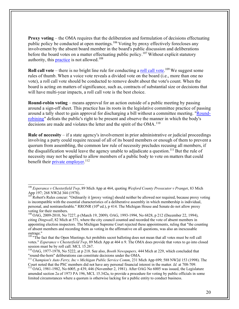**Proxy voting** – the OMA requires that the deliberation and formulation of decisions effectuating public policy be conducted at open meetings.<sup>106</sup> Voting by proxy effectively forecloses any involvement by the absent board member in the board's public discussion and deliberations before the board votes on a matter effectuating public policy.<sup>107</sup> Without explicit statutory authority, this [practice](http://www.ag.state.mi.us/opinion/datafiles/2000s/op10304.htm) is not allowed.<sup>108</sup>

**Roll call vote** – there is no bright line rule for conducting a roll call vote.<sup>109</sup> We suggest some rules of thumb. When a voice vote reveals a divided vote on the board (i.e., more than one no vote), a roll call vote should be conducted to remove doubt about the vote's count. When the board is acting on matters of significance, such as, contracts of substantial size or decisions that will have multi-year impacts, a roll call vote is the best choice.

**Round-robin voting** – means approval for an action outside of a public meeting by passing around a sign-off sheet. This practice has its roots in the legislative committee practice of passin[g](http://www.ag.state.mi.us/opinion/datafiles/1970s/op05222.htm) [around a tally sheet to gain approval for discharging a bill without a committee meeting. "Round](http://www.ag.state.mi.us/opinion/datafiles/1970s/op05222.htm)[robining" defeats the public's right to be present and observe the manner in which the body's](http://www.ag.state.mi.us/opinion/datafiles/1970s/op05222.htm) decisions are made and violates the letter and the spirit of the OMA.<sup>110</sup>

**Rule of necessity** – if a state agency's involvement in prior administrative [or j](#page-19-4)udicial proceedings involving a party could require recusal of all of its board members or enough of them to prevent a quorum from assembling, the common law rule of necessity precludes recusing all members, if the disqualification would leave the agency unable to adjudicate a question.<sup>111</sup> But the rule of necessity may not be applied to allow members of a public body to vote on matters that could benefit their <u>private employer</u>.<sup>112</sup>

<span id="page-19-1"></span><span id="page-19-0"></span><sup>106</sup>*Esperance v Chesterfield Twp*, 89 Mich App at 464, quoting *Wexford County Prosecutor v Prange*r, 83 Mich App 197; 268 NW2d 344 (1978).

<sup>107</sup> Robert's Rules concur: "Ordinarily it [proxy voting] should neither be allowed nor required, because proxy voting is incompatible with the essential characteristics of a deliberative assembly in which membership is individual, personal, and nontransferable." RRONR  $(10<sup>th</sup>$  ed.), p 414. The Michigan House and Senate do not allow proxy voting for their members.

<span id="page-19-2"></span><sup>108</sup> OAG, 2009-2010, No 7227, p (March 19, 2009). OAG, 1993-1994, No 6828, p 212 (December 22, 1994), citing *Dingwall*, 82 Mich at 571, where the city council counted and recorded the vote of absent members in appointing election inspectors. The Michigan Supreme Court rejected these appointments, ruling that "the counting of absent members and recording them as voting in the affirmative on all questions, was also an inexcusable outrage."

<span id="page-19-4"></span><span id="page-19-3"></span><sup>&</sup>lt;sup>109</sup> "The fact that the Open Meetings Act prohibits secret balloting does not mean that all votes must be roll call votes." *Esperance v Chesterfield Twp*, 89 Mich App at 464 n 9. The OMA does provide that votes to go into closed session must be by roll call. MCL 15.267.

<sup>&</sup>lt;sup>110</sup> OAG, 1977-1978, No 5222, at p 218. See also, *Booth Newspapers*, 444 Mich at 229, which concluded that "round-the-horn" deliberations can constitute decisions under the OMA.

<sup>&</sup>lt;sup>111</sup> Champion's Auto Ferry, Inc v Michigan Public Service Comm, 231 Mich App 699; 588 NW2d 153 (1998). The Court noted that the PSC members did not have any personal financial interest in the matter. *Id.* at 708-709.

<sup>&</sup>lt;sup>112</sup> OAG, 1981-1982, No 6005, p 439, 446 (November 2, 1981). After OAG No 6005 was issued, the Legislature amended section 2a of 1973 PA 196, MCL 15.342a, to provide a procedure for voting by public officials in some limited circumstances where a quorum is otherwise lacking for a public entity to conduct business.